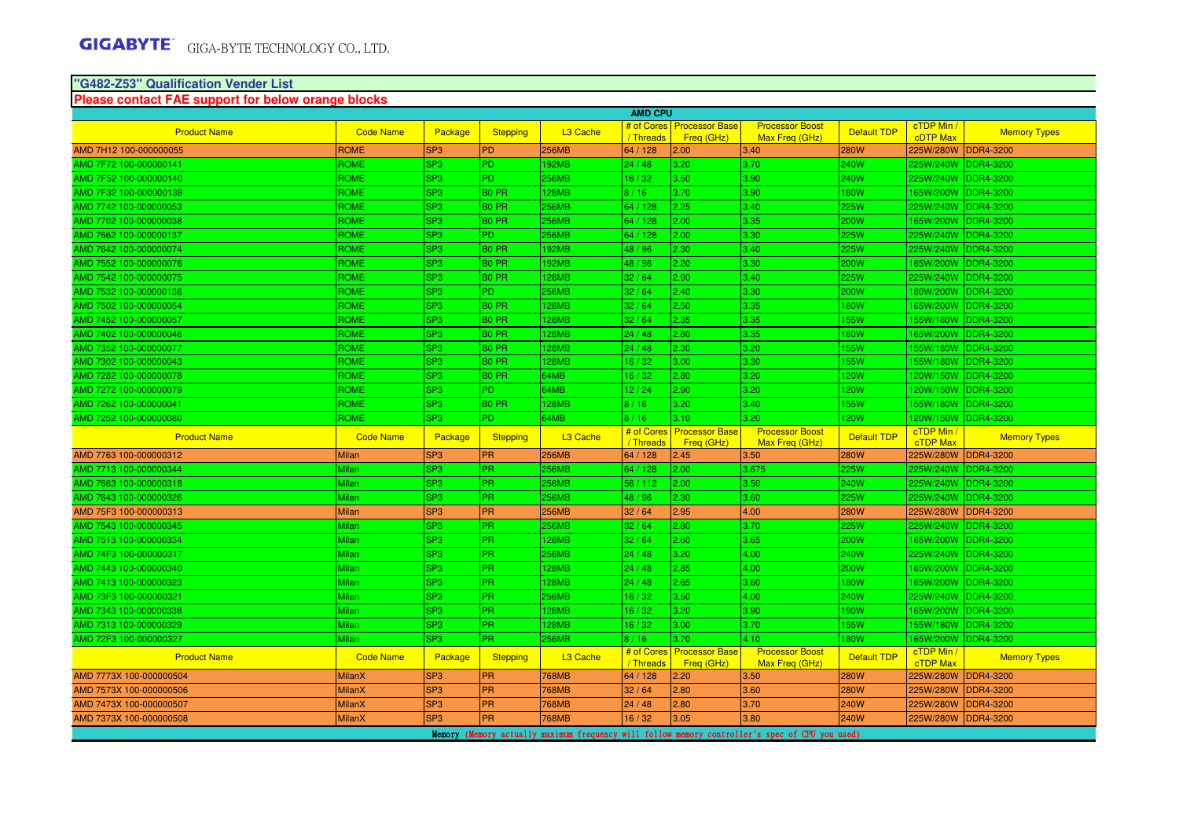#### **"G482-Z53" Qualification Vender ListPlease contact FAE support for below orange blocks**

|                         |                  |                 |                 |                      | <b>AMD CPU</b>          |                                     |                                          |                    |                                 |                     |
|-------------------------|------------------|-----------------|-----------------|----------------------|-------------------------|-------------------------------------|------------------------------------------|--------------------|---------------------------------|---------------------|
| <b>Product Name</b>     | <b>Code Name</b> | Package         | <b>Stepping</b> | L <sub>3</sub> Cache | # of Cores<br>Threads   | <b>Processor Base</b><br>Freg (GHz) | <b>Processor Boost</b><br>Max Freq (GHz) | <b>Default TDP</b> | $cTDP$ Min /<br><b>cDTP Max</b> | <b>Memory Types</b> |
| AMD 7H12 100-000000055  | <b>ROME</b>      | SP <sub>3</sub> | PD              | 256MB                | 64 / 128                | 2.00                                | 3.40                                     | <b>280W</b>        | 225W/280W                       | <b>DDR4-3200</b>    |
| AMD 7F72 100-000000141  | <b>ROME</b>      | SP <sub>3</sub> | IPD.            | 192MB                | 24/48                   | 3.20                                | 3.70                                     | 240W               | 225W/240W                       | <b>DDR4-3200</b>    |
| AMD 7F52 100-000000140  | <b>ROME</b>      | SP <sub>3</sub> | lPD.            | <b>256MB</b>         | 16/32                   | 3.50                                | 3.90                                     | 240W               | 225W/240W                       | <b>IDDR4-3200</b>   |
| AMD 7F32 100-000000139  | <b>ROME</b>      | SP <sub>3</sub> | <b>BO PR</b>    | <b>28MB</b>          | 8/16                    | 3.70                                | 3.90                                     | 180W               | 165W/200W                       | <b>DDR4-3200</b>    |
| AMD 7742 100-000000053  | <b>ROME</b>      | SP <sub>3</sub> | <b>BO PR</b>    | 256MB                | 64 / 128                | 2.25                                | 3.40                                     | 225W               | 225W/240W                       | DDR4-3200           |
| AMD 7702 100-000000038  | <b>ROME</b>      | SP <sub>3</sub> | <b>BO PR</b>    | <b>256MB</b>         | 64 / 128                | 2.00                                | 3.35                                     | 200W               | 165W/200W                       | DDR4-3200           |
| AMD 7662 100-000000137  | ROME             | SP <sub>3</sub> | PD.             | 256MB                | 64 / 128                | 2.00                                | 3.30                                     | 225W               | 225W/240W                       | <b>DDR4-3200</b>    |
| AMD 7642 100-000000074  | <b>ROME</b>      | SP <sub>3</sub> | <b>BO PR</b>    | 192MB                | 48 / 96                 | 2.30                                | 3.40                                     | 225W               | 225W/240W DDR4-3200             |                     |
| AMD 7552 100-000000076  | <b>ROME</b>      | SP <sub>3</sub> | <b>BO PR</b>    | 192MB                | 48 / 96                 | 2.20                                | 3.30                                     | 200W               | 165W/200W                       | DDR4-3200           |
| AMD 7542 100-000000075  | <b>ROME</b>      | SP <sub>3</sub> | <b>BO PR</b>    | 128MB                | 32/64                   | 2.90                                | 3.40                                     | 225W               | 225W/240W                       | <b>DDR4-3200</b>    |
| AMD 7532 100-000000136  | <b>ROME</b>      | SP <sub>3</sub> | <b>PD</b>       | <b>256MB</b>         | 32/64                   | 2.40                                | 3.30                                     | 200W               | 180W/200W                       | <b>IDDR4-3200</b>   |
| AMD 7502 100-000000054  | <b>ROME</b>      | SP <sub>3</sub> | <b>BO PR</b>    | 128MB                | 32/64                   | 2.50                                | 3.35                                     | 180W               | 165W/200W                       | DDR4-3200           |
| AMD 7452 100-000000057  | <b>ROME</b>      | SP <sub>3</sub> | <b>BO PR</b>    | 128MB                | 32/64                   | 2.35                                | 3.35                                     | 155W               | 55W/180W                        | <b>DDR4-3200</b>    |
| AMD 7402 100-000000046  | <b>ROME</b>      | SP <sub>3</sub> | <b>BO PR</b>    | 128MB                | 24/48                   | 2.80                                | 3.35                                     | 180W               | 165W/200W                       | DDR4-3200           |
| AMD 7352 100-000000077  | <b>ROME</b>      | SP <sub>3</sub> | <b>BO PR</b>    | 128MB                | 24/48                   | 2.30                                | 3.20                                     | 155W               | 155W/180W                       | DDR4-3200           |
| AMD 7302 100-000000043  | <b>ROME</b>      | SP <sub>3</sub> | <b>BO PR</b>    | 128MB                | 16/32                   | 3.00                                | 3.30                                     | 155W               | 55W/180W                        | <b>DDR4-3200</b>    |
| AMD 7282 100-000000078  | <b>ROME</b>      | SP <sub>3</sub> | <b>BO PR</b>    | 64MB                 | 16/32                   | 2.80                                | 3.20                                     | 120W               | 120W/150W                       | DDR4-3200           |
| AMD 7272 100-000000079  | <b>ROME</b>      | SP <sub>3</sub> | IPD.            | 64MB                 | 12/24                   | 2.90                                | 3.20                                     | 120W               | 120W/150W                       | DDR4-3200           |
| AMD 7262 100-000000041  | <b>ROME</b>      | SP <sub>3</sub> | <b>BO PR</b>    | 128MB                | 8/16                    | 3.20                                | 3.40                                     | <b>55W</b>         | 155W/180W                       | DDR4-3200           |
| AMD 7252 100-000000080  | <b>ROME</b>      | SP <sub>3</sub> | IPD.            | 64MB                 | 8/16                    | 3.10                                | 3.20                                     | <b>20W</b>         | 120W/150W DDR4-3200             |                     |
| <b>Product Name</b>     | <b>Code Name</b> | Package         | <b>Stepping</b> | L <sub>3</sub> Cache | # of Cores<br>/Threads  | <b>Processor Base</b><br>Freq (GHz) | <b>Processor Boost</b><br>Max Freq (GHz) | <b>Default TDP</b> | cTDP Min /<br><b>cTDP Max</b>   | <b>Memory Types</b> |
| AMD 7763 100-000000312  | <b>Milan</b>     | SP <sub>3</sub> | PR              | <b>256MB</b>         | 64 / 128                | 2.45                                | 3.50                                     | 280W               | 225W/280W                       | <b>DDR4-3200</b>    |
| AMD 7713 100-000000344  | Milan            | SP <sub>3</sub> | PR.             | 256MB                | 64 / 128                | 2.00                                | 3.675                                    | 225W               | 225W/240W                       | DDR4-3200           |
| AMD 7663 100-000000318  | <b>Milan</b>     | SP <sub>3</sub> | <b>PR</b>       | <b>256MB</b>         | 56 / 112                | 2.00                                | 3.50                                     | 240W               | 225W/240W                       | DDR4-3200           |
| AMD 7643 100-000000326  | Milan            | SP <sub>3</sub> | PR              | 256MB                | 48 / 96                 | 2.30                                | 3.60                                     | 225W               | 225W/240W                       | <b>DDR4-3200</b>    |
| AMD 75F3 100-000000313  | <b>Milan</b>     | SP <sub>3</sub> | PR              | <b>256MB</b>         | 32/64                   | 2.95                                | 4.00                                     | <b>280W</b>        | 225W/280W                       | <b>DDR4-3200</b>    |
| AMD 7543 100-000000345  | <b>Milan</b>     | SP <sub>3</sub> | <b>PR</b>       | 256MB                | 32/64                   | 2.80                                | 3.70                                     | 225W               | 225W/240W                       | DDR4-3200           |
| AMD 7513 100-000000334  | <b>Milan</b>     | SP <sub>3</sub> | PR              | 128MB                | 32/64                   | 2.60                                | 3.65                                     | 200W               | 165W/200W                       | <b>DDR4-3200</b>    |
| AMD 74F3 100-000000317  | Milan            | SP <sub>3</sub> | PR.             | 256MB                | 24/48                   | 3.20                                | 4.00                                     | 240W               | 225W/240W DDR4-3200             |                     |
| AMD 7443 100-000000340  | <b>Milan</b>     | SP <sub>3</sub> | <b>PR</b>       | 128MB                | 24/48                   | 2.85                                | 4.00                                     | <b>200W</b>        | 165W/200W                       | DDR4-3200           |
| AMD 7413 100-000000323  | Milan            | SP <sub>3</sub> | <b>PR</b>       | <b>28MB</b>          | 24/48                   | 2.65                                | 3.60                                     | 180W               | 165W/200W                       | DDR4-3200           |
| AMD 73F3 100-000000321  | Milan            | SP <sub>3</sub> | <b>PR</b>       | 256MB                | 16/32                   | 3.50                                | 4.00                                     | 240W               | 225W/240W                       | DDR4-3200           |
| AMD 7343 100-000000338  | Milan            | SP <sub>3</sub> | <b>PR</b>       | 128MB                | 16/32                   | 3.20                                | 3.90                                     | 190W               | 165W/200W                       | DDR4-3200           |
| AMD 7313 100-000000329  | Milan            | SP <sub>3</sub> | <b>PR</b>       | 128MB                | 16/32                   | 3.00                                | 3.70                                     | 155W               | 155W/180W                       | DDR4-3200           |
| AMD 72F3 100-000000327  |                  |                 | PR.             | 256MB                | 8/16                    | 3.70                                | 4.10                                     | 180W               | 165W/200W DDR4-3200             |                     |
|                         | Milan            | SP <sub>3</sub> |                 |                      |                         |                                     |                                          |                    |                                 |                     |
| <b>Product Name</b>     | <b>Code Name</b> | Package         | <b>Stepping</b> | L <sub>3</sub> Cache | # of Cores<br>/ Threads | <b>Processor Base</b><br>Freq (GHz) | <b>Processor Boost</b><br>Max Freq (GHz) | <b>Default TDP</b> | cTDP Min /<br>cTDP Max          | <b>Memory Types</b> |
| AMD 7773X 100-000000504 | <b>MilanX</b>    | SP <sub>3</sub> | <b>PR</b>       | 768MB                | 64 / 128                | 2.20                                | 3.50                                     | <b>280W</b>        | 225W/280W                       | <b>DDR4-3200</b>    |
| AMD 7573X 100-000000506 | <b>MilanX</b>    | SP <sub>3</sub> | PR              | 768MB                | 32/64                   | 2.80                                | 3.60                                     | 280W               | 225W/280W                       | <b>DDR4-3200</b>    |
| AMD 7473X 100-000000507 | <b>MilanX</b>    | SP <sub>3</sub> | PR              | 768MB                | 24/48                   | 2.80                                | 3.70                                     | 240W               | 225W/280W                       | <b>DDR4-3200</b>    |
| AMD 7373X 100-000000508 | MilanX           | SP <sub>3</sub> | <b>PR</b>       | 768MB                | 16/32                   | 3.05                                | 3.80                                     | <b>240W</b>        | 225W/280W                       | DDR4-3200           |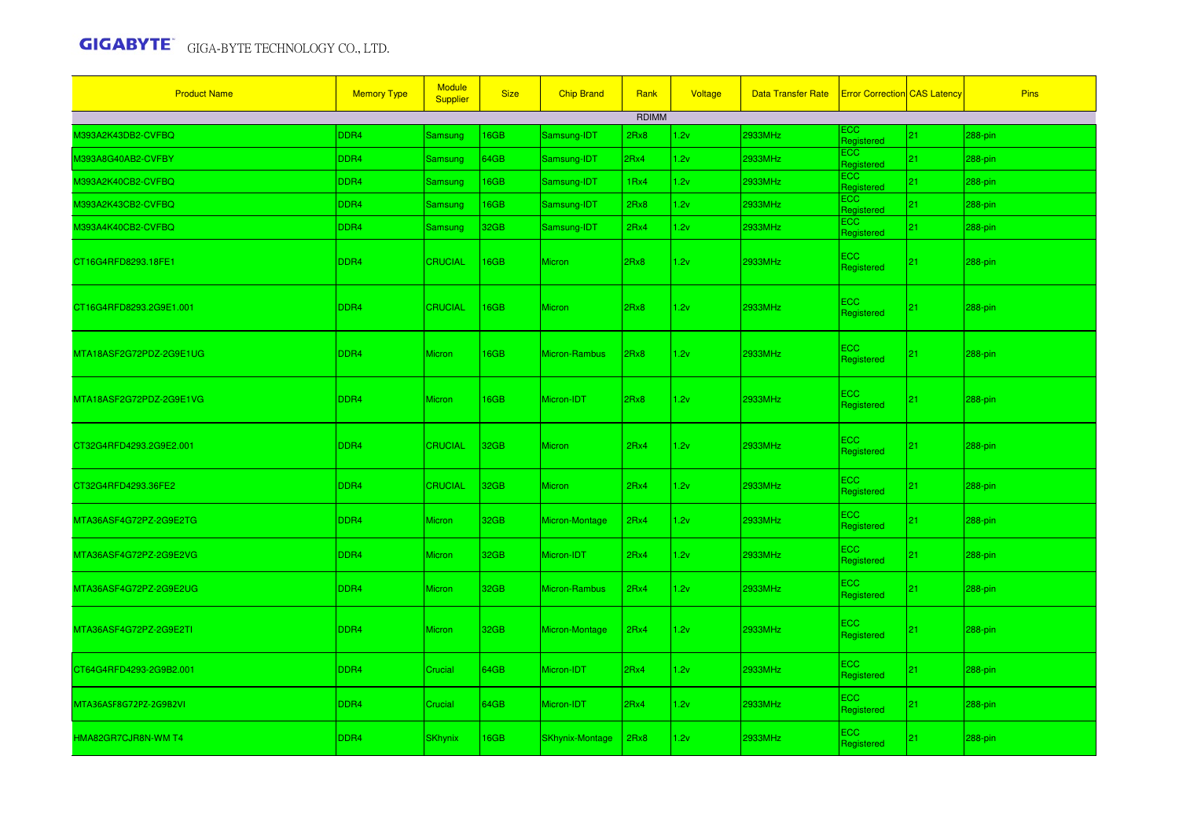| <b>Product Name</b>     | <b>Memory Type</b> | <b>Module</b><br><b>Supplier</b> | <b>Size</b> | <b>Chip Brand</b>    | Rank         | Voltage | Data Transfer Rate   Error Correction CAS Latency |                          |    | <b>Pins</b> |
|-------------------------|--------------------|----------------------------------|-------------|----------------------|--------------|---------|---------------------------------------------------|--------------------------|----|-------------|
|                         |                    |                                  |             |                      | <b>RDIMM</b> |         |                                                   |                          |    |             |
| M393A2K43DB2-CVFBQ      | DDR4               | Samsung                          | 16GB        | Samsung-IDT          | 2Rx8         | 1.2v    | 2933MHz                                           | ECC.<br>Registered       | 21 | 288-pin     |
| M393A8G40AB2-CVFBY      | DDR4               | <b>Samsung</b>                   | 64GB        | Samsung-IDT          | 2Rx4         | 1.2v    | 2933MHz                                           | <b>ECC</b><br>Registered | 21 | 288-pin     |
| M393A2K40CB2-CVFBQ      | DDR4               | Samsung                          | 16GB        | Samsung-IDT          | 1Rx4         | 1.2v    | 2933MHz                                           | ECC.<br>Registered       | 21 | 288-pin     |
| M393A2K43CB2-CVFBQ      | DDR4               | Samsung                          | 16GB        | Samsung-IDT          | 2Rx8         | 1.2v    | 2933MHz                                           | ECC.<br>Registered       | 21 | 288-pin     |
| M393A4K40CB2-CVFBQ      | DDR4               | Samsung                          | 32GB        | Samsung-IDT          | 2Rx4         | 1.2v    | 2933MHz                                           | ECC.<br>Registered       | 21 | 288-pin     |
| CT16G4RFD8293.18FE1     | DDR4               | <b>CRUCIAL</b>                   | <b>I6GB</b> | <b>Micron</b>        | 2Rx8         | 1.2v    | 2933MHz                                           | ECC.<br>Registered       | 21 | 288-pin     |
| CT16G4RFD8293.2G9E1.001 | DDR4               | <b>CRUCIAL</b>                   | 16GB        | <b>Micron</b>        | 2Rx8         | 1.2v    | 2933MHz                                           | ECC<br>Registered        | 21 | 288-pin     |
| MTA18ASF2G72PDZ-2G9E1UG | DDR4               | <b>Micron</b>                    | 16GB        | <b>Micron-Rambus</b> | 2Rx8         | 1.2v    | 2933MHz                                           | ECC.<br>Registered       | 21 | 288-pin     |
| MTA18ASF2G72PDZ-2G9E1VG | DDR4               | <b>Micron</b>                    | 16GB        | Micron-IDT           | 2Rx8         | 1.2v    | 2933MHz                                           | ECC.<br>Registered       | 21 | 288-pin     |
| CT32G4RFD4293.2G9E2.001 | DDR4               | CRUCIAL                          | 32GB        | Micron               | 2Rx4         | 1.2v    | 2933MHz                                           | ECC.<br>Registered       | 21 | 288-pin     |
| CT32G4RFD4293.36FE2     | DDR4               | <b>CRUCIAL</b>                   | 32GB        | <b>Micron</b>        | 2Rx4         | 1.2v    | 2933MHz                                           | ECC<br>Registered        | 21 | 288-pin     |
| MTA36ASF4G72PZ-2G9E2TG  | DDR4               | <b>Micron</b>                    | 32GB        | Micron-Montage       | 2Rx4         | 1.2v    | 2933MHz                                           | ECC<br>Registered        | 21 | 288-pin     |
| MTA36ASF4G72PZ-2G9E2VG  | DDR4               | Micron                           | 32GB        | Micron-IDT           | 2Rx4         | 1.2v    | 2933MHz                                           | ECC<br>Registered        | 21 | $288$ -pin  |
| MTA36ASF4G72PZ-2G9E2UG  | DDR4               | Micron                           | 32GB        | Micron-Rambus        | 2Rx4         | 1.2v    | 2933MHz                                           | ECC<br>Registered        | 21 | 288-pin     |
| MTA36ASF4G72PZ-2G9E2TI  | DDR4               | Micron                           | 32GB        | Micron-Montage       | 2Rx4         | 1.2v    | 2933MHz                                           | ECC.<br>Registered       | 21 | 288-pin     |
| CT64G4RFD4293-2G9B2.001 | DDR4               | Crucial                          | 64GB        | Micron-IDT           | 2Rx4         | 1.2v    | 2933MHz                                           | ECC<br>Registered        | 21 | 288-pin     |
| MTA36ASF8G72PZ-2G9B2VI  | DDR4               | Crucial                          | 64GB        | Micron-IDT           | 2Rx4         | 1.2v    | 2933MHz                                           | ECC<br>Registered        | 21 | 288-pin     |
| HMA82GR7CJR8N-WM T4     | DDR4               | <b>SKhynix</b>                   | 16GB        | SKhynix-Montage      | 2Rx8         | 1.2v    | 2933MHz                                           | ECC.<br>Registered       | 21 | 288-pin     |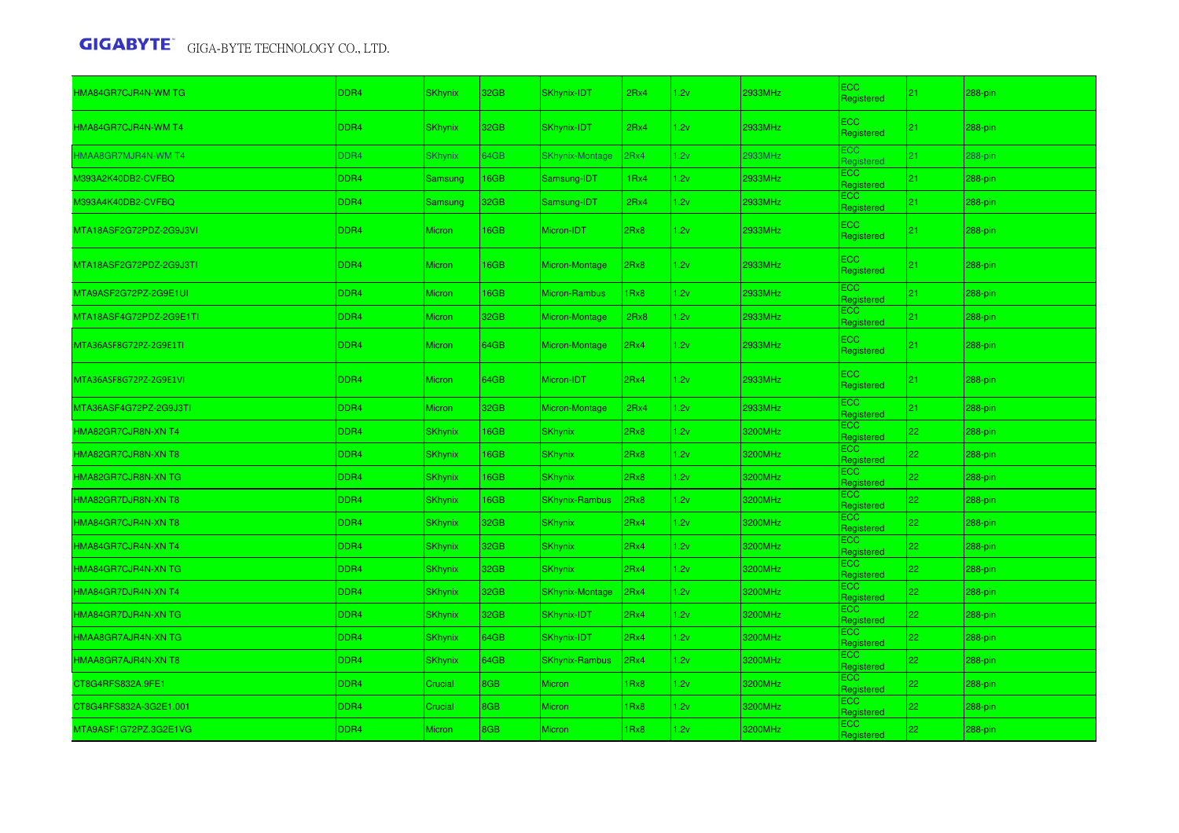| HMA84GR7CJR4N-WM TG     | DDR <sub>4</sub> | <b>SKhynix</b> | 32GB | <b>SKhynix-IDT</b>     | 2Rx4 | 1.2v | 2933MHz | <b>ECC</b><br>Registered | 21 | 288-pin |
|-------------------------|------------------|----------------|------|------------------------|------|------|---------|--------------------------|----|---------|
| HMA84GR7CJR4N-WM T4     | DDR <sub>4</sub> | <b>SKhynix</b> | 32GB | SKhynix-IDT            | 2Rx4 | 1.2v | 2933MHz | ECC.<br>Registered       | 21 | 288-pin |
| HMAA8GR7MJR4N-WM T4     | DDR4             | <b>SKhynix</b> | 64GB | <b>SKhynix-Montage</b> | 2Rx4 | 1.2v | 2933MHz | ECC<br><b>Registered</b> | 21 | 288-pin |
| M393A2K40DB2-CVFBQ      | DDR4             | Samsung        | 16GB | Samsung-IDT            | 1Rx4 | 1.2v | 2933MHz | <b>ECC</b><br>Registered | 21 | 288-pin |
| M393A4K40DB2-CVFBQ      | DDR4             | <b>Samsung</b> | 32GB | Samsung-IDT            | 2Rx4 | 1.2v | 2933MHz | ECC.<br>Registered       | 21 | 288-pin |
| MTA18ASF2G72PDZ-2G9J3VI | DDR4             | Micron         | 16GB | Micron-IDT             | 2Rx8 | 1.2v | 2933MHz | <b>ECC</b><br>Registered | 21 | 288-pin |
| MTA18ASF2G72PDZ-2G9J3TI | DDR <sub>4</sub> | <b>Micron</b>  | 16GB | Micron-Montage         | 2Rx8 | 1.2v | 2933MHz | ECC.<br>Registered       | 21 | 288-pin |
| MTA9ASF2G72PZ-2G9E1UI   | DDR4             | Micron         | 16GB | Micron-Rambus          | 1Rx8 | 1.2v | 2933MHz | ECC<br>Registered        | 21 | 288-pin |
| MTA18ASF4G72PDZ-2G9E1TI | DDR4             | Micron         | 32GB | Micron-Montage         | 2Rx8 | 1.2v | 2933MHz | <b>ECC</b><br>Registered | 21 | 288-pin |
| MTA36ASF8G72PZ-2G9E1TI  | DDR <sub>4</sub> | Micron         | 64GB | Micron-Montage         | 2Rx4 | 1.2v | 2933MHz | ECC.<br>Registered       | 21 | 288-pin |
| MTA36ASF8G72PZ-2G9E1VI  | DDR <sub>4</sub> | <b>Micron</b>  | 64GB | Micron-IDT             | 2Rx4 | 1.2v | 2933MHz | <b>ECC</b><br>Registered | 21 | 288-pin |
| MTA36ASF4G72PZ-2G9J3TI  | DDR4             | Micron         | 32GB | Micron-Montage         | 2Rx4 | 1.2v | 2933MHz | <b>ECC</b><br>Registered | 21 | 288-pin |
| HMA82GR7CJR8N-XN T4     | DDR4             | SKhynix        | 16GB | <b>SKhynix</b>         | 2Rx8 | 1.2v | 3200MHz | <b>ECC</b><br>Registered | 22 | 288-pin |
| HMA82GR7CJR8N-XN T8     | DDR4             | SKhynix        | 16GB | <b>SKhynix</b>         | 2Rx8 | 1.2v | 3200MHz | ECC<br>Registered        | 22 | 288-pin |
| HMA82GR7CJR8N-XN TG     | DDR4             | <b>SKhynix</b> | 16GB | <b>SKhynix</b>         | 2Rx8 | 1.2v | 3200MHz | <b>ECC</b><br>Registered | 22 | 288-pin |
| HMA82GR7DJR8N-XN T8     | DDR4             | <b>SKhynix</b> | 16GB | <b>SKhynix-Rambus</b>  | 2Rx8 | 1.2v | 3200MHz | <b>ECC</b><br>Registered | 22 | 288-pin |
| HMA84GR7CJR4N-XN T8     | DDR4             | <b>SKhynix</b> | 32GB | <b>SKhynix</b>         | 2Rx4 | 1.2v | 3200MHz | ECC.<br>Registered       | 22 | 288-pin |
| HMA84GR7CJR4N-XN T4     | DDR4             | <b>SKhynix</b> | 32GB | <b>SKhynix</b>         | 2Rx4 | 1.2v | 3200MHz | ECC.<br>Registered       | 22 | 288-pin |
| HMA84GR7CJR4N-XN TG     | DDR4             | <b>SKhynix</b> | 32GB | <b>SKhynix</b>         | 2Rx4 | 1.2v | 3200MHz | <b>ECC</b><br>Registered | 22 | 288-pin |
| HMA84GR7DJR4N-XN T4     | DDR4             | <b>SKhynix</b> | 32GB | <b>SKhynix-Montage</b> | 2Rx4 | 1.2v | 3200MHz | <b>ECC</b><br>Registered | 22 | 288-pin |
| HMA84GR7DJR4N-XN TG     | DDR4             | <b>SKhynix</b> | 32GB | SKhynix-IDT            | 2Rx4 | 1.2v | 3200MHz | ECC<br>Registered        | 22 | 288-pin |
| HMAA8GR7AJR4N-XN TG     | DDR4             | <b>SKhynix</b> | 64GB | SKhynix-IDT            | 2Rx4 | 1.2v | 3200MHz | <b>ECC</b><br>Registered | 22 | 288-pin |
| HMAA8GR7AJR4N-XN T8     | DDR4             | <b>SKhynix</b> | 64GB | <b>SKhynix-Rambus</b>  | 2Rx4 | 1.2v | 3200MHz | <b>ECC</b><br>Registered | 22 | 288-pin |
| CT8G4RFS832A.9FE1       | DDR4             | Crucial        | 8GB  | <b>Micron</b>          | 1Rx8 | 1.2v | 3200MHz | ECC.<br>Registered       | 22 | 288-pin |
| CT8G4RFS832A-3G2E1.001  | DDR4             | Crucial        | 8GB  | Micron                 | 1Rx8 | 1.2v | 3200MHz | ECC.<br>Registered       | 22 | 288-pin |
| MTA9ASF1G72PZ.3G2E1VG   | DDR4             | Micron         | 8GB  | Micron                 | 1Rx8 | 1.2v | 3200MHz | ECC<br>Registered        | 22 | 288-pin |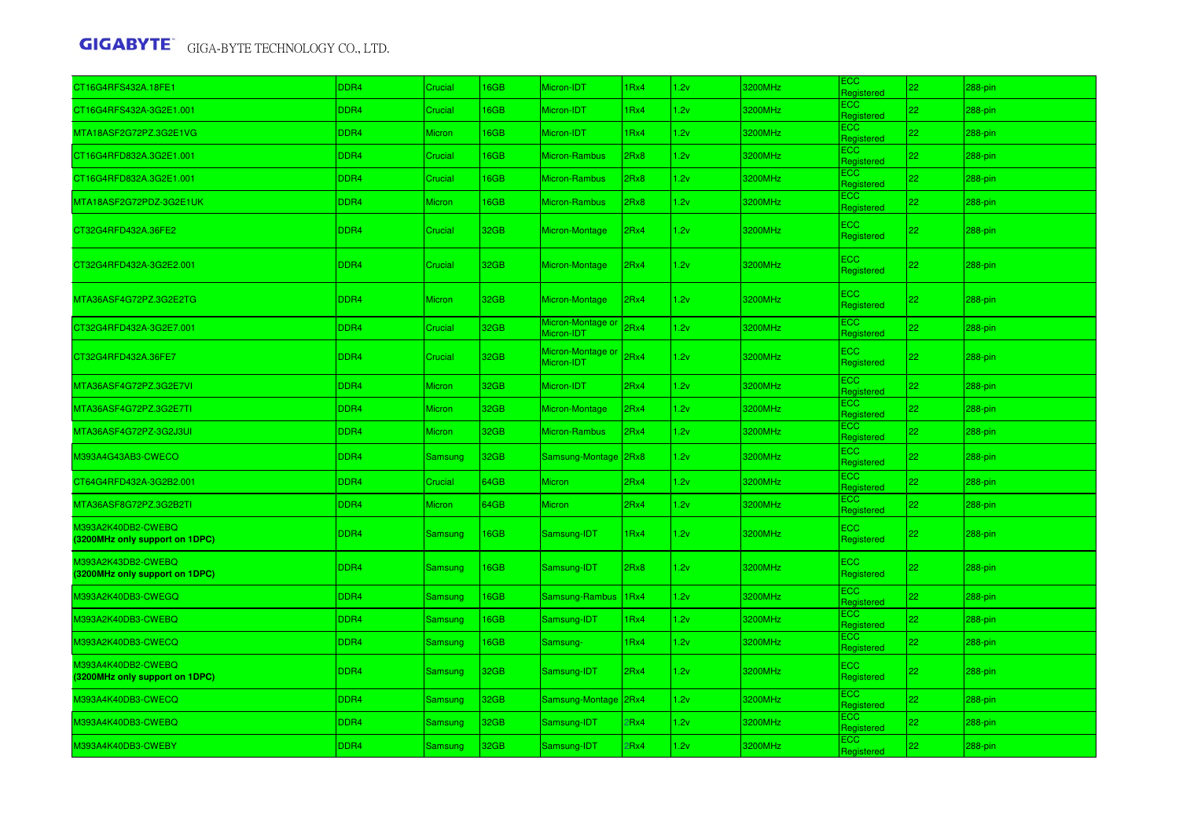| CT16G4RFS432A.18FE1                                  | DDR4             | Crucial        | 16GB             | Micron-IDT                      | 1Rx4             | 1.2v | 3200MHz | <b>ECC</b><br>Registered | 22 | 288-pin    |
|------------------------------------------------------|------------------|----------------|------------------|---------------------------------|------------------|------|---------|--------------------------|----|------------|
| CT16G4RFS432A-3G2E1.001                              | DDR4             | Crucial        | 16GB             | Micron-IDT                      | 1Rx4             | 1.2v | 3200MHz | <b>ECC</b><br>Registered | 22 | 288-pin    |
| MTA18ASF2G72PZ.3G2E1VG                               | DDR4             | Micron         | 16GB             | Micron-IDT                      | 1 <sub>Rx4</sub> | 1.2v | 3200MHz | ECC<br>Registered        | 22 | 288-pin    |
| CT16G4RFD832A.3G2E1.001                              | DDR4             | Crucial        | 16GB             | Micron-Rambus                   | 2Rx8             | 1.2v | 3200MHz | <b>ECC</b><br>Registered | 22 | 288-pin    |
| CT16G4RFD832A.3G2E1.001                              | DDR4             | Crucial        | 16GB             | Micron-Rambus                   | 2Rx8             | 1.2v | 3200MHz | <b>ECC</b><br>Registered | 22 | 288-pin    |
| MTA18ASF2G72PDZ-3G2E1UK                              | DDR4             | Micron         | 16GB             | Micron-Rambus                   | 2Rx8             | 1.2v | 3200MHz | ECC<br>Registered        | 22 | 288-pin    |
| CT32G4RFD432A.36FE2                                  | DDR <sub>4</sub> | Crucial        | 32GB             | Micron-Montage                  | 2Rx4             | 1.2v | 3200MHz | <b>ECC</b><br>Registered | 22 | 288-pin    |
| CT32G4RFD432A-3G2E2.001                              | DDR <sub>4</sub> | Crucial        | 32GB             | Micron-Montage                  | 2Rx4             | 1.2v | 3200MHz | <b>ECC</b><br>Registered | 22 | 288-pin    |
| MTA36ASF4G72PZ.3G2E2TG                               | DDR <sub>4</sub> | Micron         | 32GB             | Micron-Montage                  | 2Rx4             | 1.2v | 3200MHz | <b>ECC</b><br>Registered | 22 | 288-pin    |
| CT32G4RFD432A-3G2E7.001                              | DDR4             | Crucial        | 32GB             | Micron-Montage or<br>Micron-IDT | 2Rx4             | 1.2v | 3200MHz | <b>ECC</b><br>Registered | 22 | 288-pin    |
| CT32G4RFD432A.36FE7                                  | DDR4             | Crucial        | 32GB             | Micron-Montage or<br>Micron-IDT | 2Rx4             | 1.2v | 3200MHz | <b>ECC</b><br>Registered | 22 | 288-pin    |
| MTA36ASF4G72PZ.3G2E7VI                               | DDR4             | Micron         | 32GB             | Micron-IDT                      | 2Rx4             | 1.2v | 3200MHz | <b>ECC</b><br>Registered | 22 | 288-pin    |
| MTA36ASF4G72PZ.3G2E7TI                               | DDR4             | Micron         | 32GB             | Micron-Montage                  | 2Rx4             | 1.2v | 3200MHz | <b>ECC</b><br>Registered | 22 | 288-pin    |
| MTA36ASF4G72PZ-3G2J3UI                               | DDR4             | Micron         | 32GB             | Micron-Rambus                   | 2Rx4             | 1.2v | 3200MHz | <b>ECC</b><br>Registered | 22 | 288-pin    |
| M393A4G43AB3-CWECO                                   | DDR <sub>4</sub> | Samsung        | 32GB             | Samsung-Montage                 | 2Rx8             | 1.2v | 3200MHz | <b>ECC</b><br>Registered | 22 | 288-pin    |
| CT64G4RFD432A-3G2B2.001                              | DDR4             | Crucial        | 64GB             | Micron                          | 2Rx4             | 1.2v | 3200MHz | <b>ECC</b><br>Registered | 22 | 288-pin    |
| MTA36ASF8G72PZ.3G2B2TI                               | DDR <sub>4</sub> | Micron         | 64GB             | Micron                          | 2Rx4             | 1.2v | 3200MHz | <b>ECC</b><br>Registered | 22 | 288-pin    |
| M393A2K40DB2-CWEBQ<br>(3200MHz only support on 1DPC) | DDR <sub>4</sub> | Samsung        | <b>16GB</b>      | Samsung-IDT                     | 1Rx4             | 1.2v | 3200MHz | <b>ECC</b><br>Registered | 22 | 288-pin    |
| M393A2K43DB2-CWEBQ<br>(3200MHz only support on 1DPC) | DDR4             | Samsung        | 16GB             | Samsung-IDT                     | 2Rx8             | 1.2v | 3200MHz | <b>ECC</b><br>Registered | 22 | 288-pin    |
| M393A2K40DB3-CWEGQ                                   | DDR4             | <b>Samsung</b> | 16GB             | Samsung-Rambus                  | 1Rx4             | 1.2v | 3200MHz | ECC<br>Registered        | 22 | 288-pin    |
| M393A2K40DB3-CWEBQ                                   | DDR4             | Samsung        | 16GB             | Samsung-IDT                     | 1Rx4             | 1.2v | 3200MHz | <b>ECC</b><br>Registered | 22 | 288-pin    |
| M393A2K40DB3-CWECQ                                   | DDR4             | Samsung        | 16GB             | Samsung-                        | 1Rx4             | 1.2v | 3200MHz | <b>ECC</b><br>Registered | 22 | 288-pin    |
| M393A4K40DB2-CWEBQ<br>(3200MHz only support on 1DPC) | DDR <sub>4</sub> | Samsung        | 32 <sub>GB</sub> | Samsung-IDT                     | 2Rx4             | 1.2v | 3200MHz | ECC.<br>Registered       | 22 | 288-pin    |
| M393A4K40DB3-CWECQ                                   | DDR4             | <b>Samsung</b> | 32GB             | Samsung-Montage                 | 2Rx4             | 1.2v | 3200MHz | <b>ECC</b><br>Registered | 22 | 288-pin    |
| M393A4K40DB3-CWEBQ                                   | DDR4             | Samsung        | 32GB             | Samsung-IDT                     | 2Rx4             | 1.2v | 3200MHz | <b>ECC</b><br>Registered | 22 | $288$ -pin |
| M393A4K40DB3-CWEBY                                   | DDR4             | Samsung        | 32GB             | Samsung-IDT                     | 2Rx4             | 1.2v | 3200MHz | ECC<br>Registered        | 22 | 288-pin    |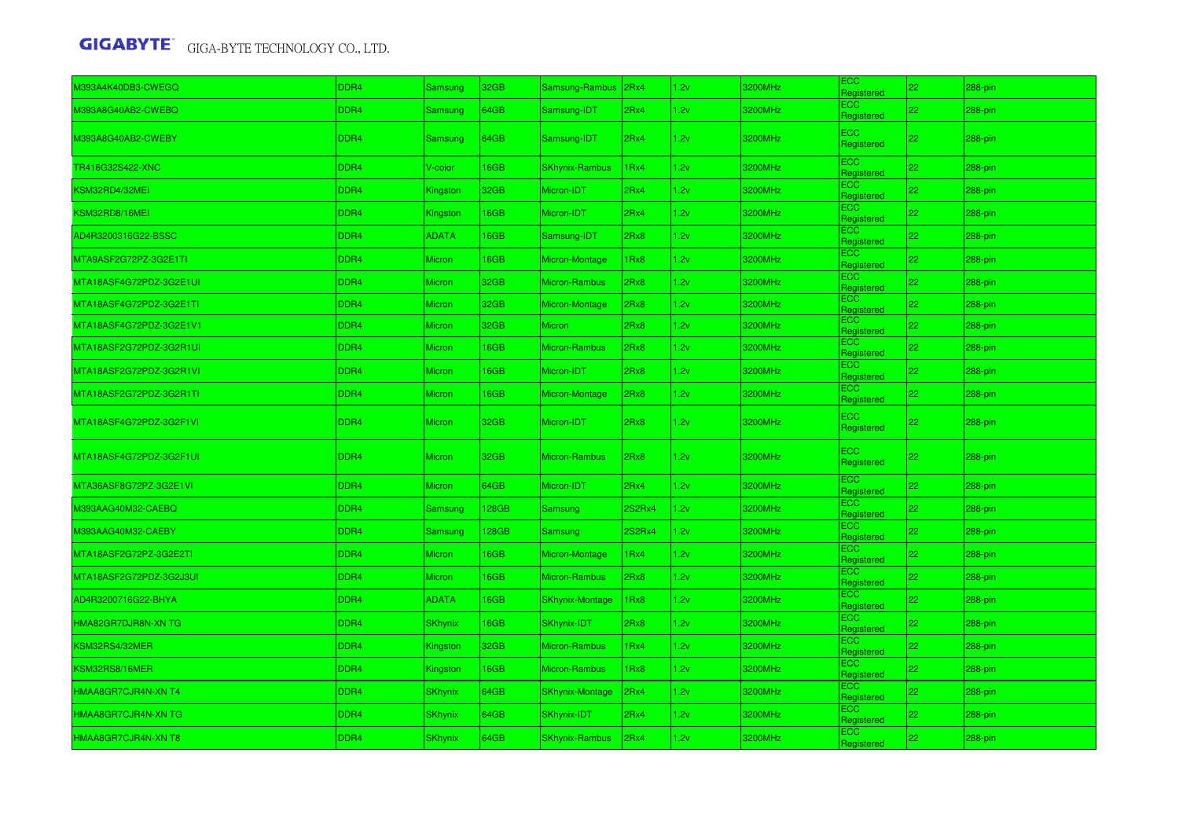| M393A4K40DB3-CWEGQ      | DDR4 | Samsung         | 32GB        | Samsung-Rambus 2Rx4    |               | 1.2v | 3200MHz | ECC<br>Registered         | 22           | 288-pin    |
|-------------------------|------|-----------------|-------------|------------------------|---------------|------|---------|---------------------------|--------------|------------|
| M393A8G40AB2-CWEBQ      | DDR4 | Samsung         | 64GB        | Samsung-IDT            | 2Rx4          | 1.2v | 3200MHz | ECC.<br>Registered        | 22           | 288-pin    |
| M393A8G40AB2-CWEBY      | DDR4 | Samsung         | 64GB        | Samsung-IDT            | 2Rx4          | 1.2v | 3200MHz | ECC<br>Registered         | $ 22\rangle$ | 288-pin    |
| TR416G32S422-XNC        | DDR4 | V-color         | <b>I6GB</b> | <b>SKhynix-Rambus</b>  | 1Rx4          | 1.2v | 3200MHz | ECC.<br>Registered        | 22           | 288-pin    |
| KSM32RD4/32MEI          | DDR4 | <b>Kingston</b> | 32GB        | Micron-IDT             | 2Rx4          | 1.2v | 3200MHz | ECC<br>Registered         | 22           | 288-pin    |
| KSM32RD8/16MEI          | DDR4 | Kingston        | 16GB        | Micron-IDT             | 2Rx4          | 1.2v | 3200MHz | <b>ECC</b><br>Registered  | 22           | 288-pin    |
| AD4R3200316G22-BSSC     | DDR4 | <b>ADATA</b>    | 16GB        | Samsung-IDT            | 2Rx8          | 1.2v | 3200MHz | <b>ECC</b><br>Registered  | 22           | 288-pin    |
| MTA9ASF2G72PZ-3G2E1TI   | DDR4 | Micron          | <b>I6GB</b> | Micron-Montage         | 1Rx8          | 1.2v | 3200MHz | <b>ECC</b><br>Registered  | 22           | 288-pin    |
| MTA18ASF4G72PDZ-3G2E1UI | DDR4 | Micron          | 32GB        | Micron-Rambus          | 2Rx8          | 1.2v | 3200MHz | ECC.<br>Registered        | 22           | 288-pin    |
| MTA18ASF4G72PDZ-3G2E1TI | DDR4 | Micron          | 32GB        | Micron-Montage         | 2Rx8          | 1.2v | 3200MHz | <b>ECC</b><br>Registered  | 22           | 288-pin    |
| MTA18ASF4G72PDZ-3G2E1V1 | DDR4 | Micron          | 32GB        | Micron                 | 2Rx8          | 1.2v | 3200MHz | ECC.<br><b>Registered</b> | 22           | 288-pin    |
| MTA18ASF2G72PDZ-3G2R1UI | DDR4 | Micron          | 16GB        | Micron-Rambus          | 2Rx8          | 1.2v | 3200MHz | ECC<br>Registered         | 22           | 288-pin    |
| MTA18ASF2G72PDZ-3G2R1VI | DDR4 | Micron          | 16GB        | Micron-IDT             | 2Rx8          | 1.2v | 3200MHz | ECC<br>Registered         | 22           | 288-pin    |
| MTA18ASF2G72PDZ-3G2R1TI | DDR4 | Micron          | 16GB        | Micron-Montage         | 2Rx8          | 1.2v | 3200MHz | ECC.<br>Registered        | 22           | 288-pin    |
| MTA18ASF4G72PDZ-3G2F1VI | DDR4 | <b>Micron</b>   | 32GB        | Micron-IDT             | 2Rx8          | 1.2v | 3200MHz | <b>ECC</b><br>Registered  | 22           | 288-pin    |
| MTA18ASF4G72PDZ-3G2F1UI | DDR4 | <b>Micron</b>   | 32GB        | <b>Micron-Rambus</b>   | 2Rx8          | 1.2v | 3200MHz | ECC<br>Registered         | 22           | 288-pin    |
| MTA36ASF8G72PZ-3G2E1VI  | DDR4 | Micron          | 64GB        | Micron-IDT             | 2Rx4          | 1.2v | 3200MHz | <b>ECC</b><br>Registered  | 22           | 288-pin    |
| M393AAG40M32-CAEBQ      | DDR4 | <b>Samsung</b>  | 128GB       | Samsung                | <b>2S2Rx4</b> | 1.2v | 3200MHz | ECC<br>Registered         | 22           | 288-pin    |
| M393AAG40M32-CAEBY      | DDR4 | Samsung         | 128GB       | Samsung                | <b>2S2Rx4</b> | 1.2v | 3200MHz | ECC.<br>Registered        | 22           | 288-pin    |
| MTA18ASF2G72PZ-3G2E2TI  | DDR4 | Micron          | 16GB        | Micron-Montage         | 1Rx4          | 1.2v | 3200MHz | <b>ECC</b><br>Registered  | 22           | 288-pin    |
| MTA18ASF2G72PDZ-3G2J3UI | DDR4 | Micron          | 16GB        | Micron-Rambus          | 2Rx8          | 1.2v | 3200MHz | <b>ECC</b><br>Registered  | 22           | 288-pin    |
| AD4R3200716G22-BHYA     | DDR4 | <b>ADATA</b>    | <b>I6GB</b> | <b>SKhynix-Montage</b> | 1Rx8          | 1.2v | 3200MHz | <b>ECC</b><br>Registered  | 22           | 288-pin    |
| HMA82GR7DJR8N-XN TG     | DDR4 | <b>SKhynix</b>  | 16GB        | SKhynix-IDT            | 2Rx8          | 1.2v | 3200MHz | ECC.<br>Registered        | 22           | 288-pin    |
| KSM32RS4/32MER          | DDR4 | <b>Kingston</b> | 32GB        | Micron-Rambus          | 1Rx4          | 1.2v | 3200MHz | ECC.<br>Registered        | 22           | 288-pin    |
| KSM32RS8/16MER          | DDR4 | Kingston        | 16GB        | Micron-Rambus          | 1Rx8          | 1.2v | 3200MHz | <b>ECC</b><br>Registered  | 22           | 288-pin    |
| HMAA8GR7CJR4N-XN T4     | DDR4 | <b>SKhynix</b>  | 64GB        | SKhynix-Montage        | 2Rx4          | 1.2v | 3200MHz | ECC.<br>Registered        | 22           | 288-pin    |
| HMAA8GR7CJR4N-XN TG     | DDR4 | <b>SKhynix</b>  | 64GB        | <b>SKhynix-IDT</b>     | 2Rx4          | 1.2v | 3200MHz | ECC<br>Registered         | 22           | $288$ -pin |
| HMAA8GR7CJR4N-XN T8     | DDR4 | <b>SKhynix</b>  | 64GB        | <b>SKhynix-Rambus</b>  | 2Rx4          | 1.2v | 3200MHz | ECC<br>Registered         | 22           | 288-pin    |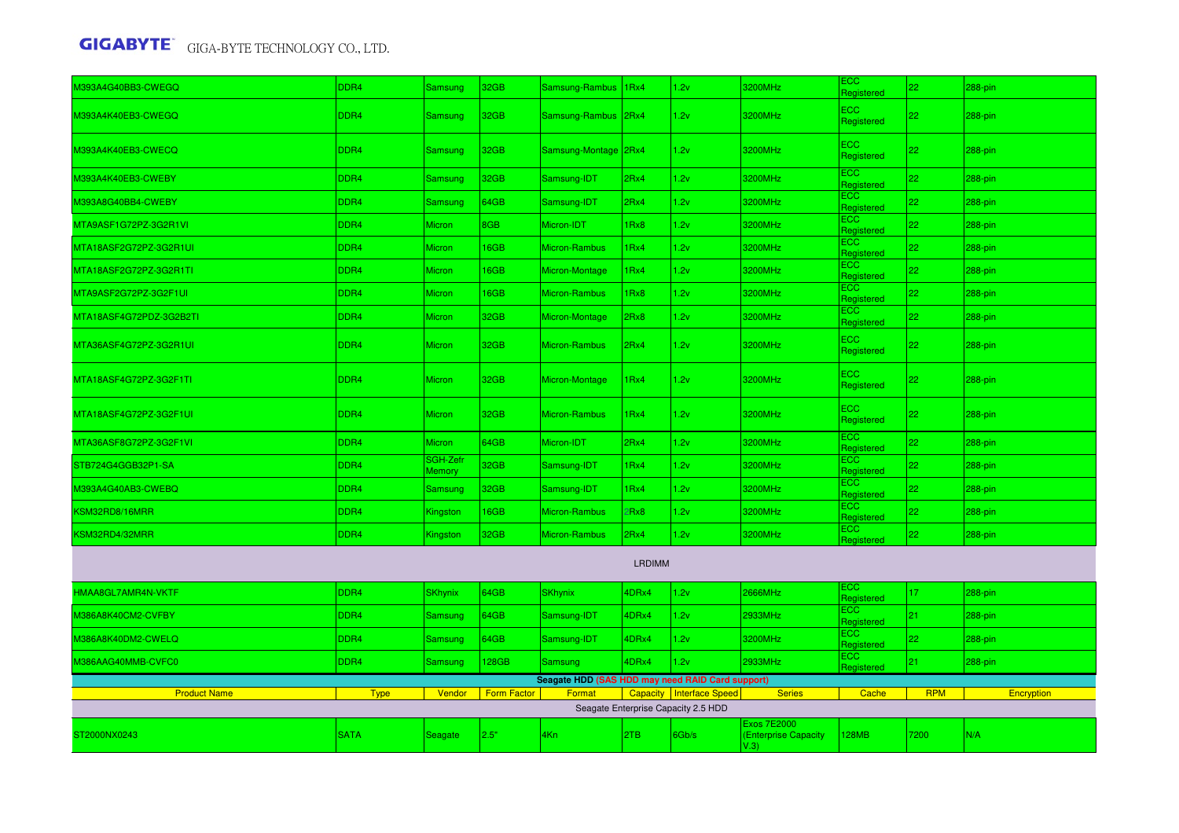| M393A4G40BB3-CWEGQ      | DDR4             | Samsung                          | 32GB               | Samsung-Rambus                                   | 1 <sub>Rx4</sub> | 1.2v                                | 3200MHz                                           | ECC<br>Registered             | 22         | 288-pin    |  |
|-------------------------|------------------|----------------------------------|--------------------|--------------------------------------------------|------------------|-------------------------------------|---------------------------------------------------|-------------------------------|------------|------------|--|
| M393A4K40EB3-CWEGQ      | DDR4             | Samsung                          | 32GB               | Samsung-Rambus                                   | 2Rx4             | 1.2v                                | 3200MHz                                           | ECC<br>Registered             | 22         | $288-pin$  |  |
| M393A4K40EB3-CWECQ      | DDR4             | Samsung                          | 32GB               | Samsung-Montage 2Rx4                             |                  | 1.2v                                | 3200MHz                                           | ECC<br>Registered             | 22         | 288-pin    |  |
| M393A4K40EB3-CWEBY      | DDR4             | Samsung                          | 32GB               | Samsung-IDT                                      | 2Rx4             | 1.2v                                | 3200MHz                                           | ECC<br>Registered             | 22         | 288-pin    |  |
| M393A8G40BB4-CWEBY      | DDR4             | Samsung                          | 64GB               | Samsung-IDT                                      | 2Rx4             | 1.2v                                | 3200MHz                                           | ECC<br>Registered             | 22         | 288-pin    |  |
| MTA9ASF1G72PZ-3G2R1VI   | DDR4             | Micron                           | 8GB                | Micron-IDT                                       | Rx8              | 1.2v                                | 3200MHz                                           | ECC<br>Registered             | 22         | 288-pin    |  |
| MTA18ASF2G72PZ-3G2R1UI  | DDR4             | Micron                           | 16GB               | Micron-Rambus                                    | Rx4              | 1.2v                                | 3200MHz                                           | $\equiv$ CC<br>Registered     | 22         | 288-pin    |  |
| MTA18ASF2G72PZ-3G2R1TI  | DDR4             | Micron                           | 16GB               | Micron-Montage                                   | Rx4              | 1.2v                                | 3200MHz                                           | ECC<br>Registered             | 22         | 288-pin    |  |
| MTA9ASF2G72PZ-3G2F1UI   | DDR4             | Micron                           | 16GB               | Micron-Rambus                                    | Rx8              | 1.2v                                | 3200MHz                                           | <b>ECC</b><br>Registered      | 22         | 288-pin    |  |
| MTA18ASF4G72PDZ-3G2B2TI | DDR4             | <b>Micron</b>                    | 32GB               | Micron-Montage                                   | 2Rx8             | 1.2v                                | 3200MHz                                           | ECC<br>Registered             | 22         | 288-pin    |  |
| MTA36ASF4G72PZ-3G2R1UI  | DDR4             | <b>Micron</b>                    | 32GB               | Micron-Rambus                                    | 2Rx4             | 1.2v                                | 3200MHz                                           | $\overline{EC}$<br>Registered | 22         | 288-pin    |  |
| MTA18ASF4G72PZ-3G2F1TI  | DDR <sub>4</sub> | <b>Micron</b>                    | 32GB               | Micron-Montage                                   | 1Rx4             | 1.2v                                | 3200MHz                                           | $\equiv$ CC<br>Registered     | 22         | $288-pin$  |  |
| MTA18ASF4G72PZ-3G2F1UI  | DDR4             | <b>Micron</b>                    | 32GB               | Micron-Rambus                                    | 1 <sub>Rx4</sub> | 1.2v                                | 3200MHz                                           | $\equiv$ CC<br>Registered     | 22         | 288-pin    |  |
| MTA36ASF8G72PZ-3G2F1VI  | DDR4             | Micron                           | 64GB               | Micron-IDT                                       | 2Rx4             | 1.2v                                | 3200MHz                                           | EC<br>Registered              | 22         | 288-pin    |  |
| STB724G4GGB32P1-SA      | DDR4             | <b>SGH-Zefr</b><br><b>Memory</b> | 32GB               | Samsung-IDT                                      | Rx4              | 1.2v                                | 3200MHz                                           | ECC<br>Registered             | 22         | 288-pin    |  |
| M393A4G40AB3-CWEBQ      | DDR <sub>4</sub> | Samsung                          | 32GB               | Samsung-IDT                                      | Rx4              | 1.2v                                | 3200MHz                                           | ECC<br>Registered             | 22         | $288-pin$  |  |
| KSM32RD8/16MRR          | DDR4             | Kingston                         | 16GB               | Micron-Rambus                                    | Rx8              | 1.2v                                | 3200MHz                                           | EC <sub>2</sub><br>Registered | 22         | 288-pin    |  |
| KSM32RD4/32MRR          | DDR <sub>4</sub> | Kingston                         | 32GB               | Micron-Rambus                                    | 2Rx4             | 1.2v                                | 3200MHz                                           | ECC.<br>Registered            | 22         | 288-pin    |  |
| <b>LRDIMM</b>           |                  |                                  |                    |                                                  |                  |                                     |                                                   |                               |            |            |  |
| HMAA8GL7AMR4N-VKTF      | DDR4             | <b>SKhynix</b>                   | 64GB               | <b>SKhynix</b>                                   | 4DRx4            | 1.2v                                | 2666MHz                                           | ECC<br>Registered             | 17         | 288-pin    |  |
| M386A8K40CM2-CVFBY      | DDR4             | Samsung                          | 64GB               | Samsung-IDT                                      | 4DRx4            | 1.2v                                | 2933MHz                                           | ECC.<br>Registered            | 21         | 288-pin    |  |
| M386A8K40DM2-CWELQ      | DDR4             | Samsung                          | 64GB               | Samsung-IDT                                      | 4DRx4            | 1.2v                                | 3200MHz                                           | ECC<br>Registered             | 22         | 288-pin    |  |
| M386AAG40MMB-CVFC0      | DDR4             | Samsung                          | 128GB              | Samsung                                          | 4DRx4            | 1.2v                                | 2933MHz                                           | ECC<br><b>Registered</b>      | 21         | 288-pin    |  |
|                         |                  |                                  |                    | Seagate HDD (SAS HDD may need RAID Card support) |                  |                                     |                                                   |                               |            |            |  |
| <b>Product Name</b>     | <b>Type</b>      | Vendor                           | <b>Form Factor</b> | Format                                           |                  | Capacity   Interface Speed          | <b>Series</b>                                     | Cache                         | <b>RPM</b> | Encryption |  |
|                         |                  |                                  |                    |                                                  |                  | Seagate Enterprise Capacity 2.5 HDD |                                                   |                               |            |            |  |
| ST2000NX0243            | <b>SATA</b>      | <b>Seagate</b>                   | 2.5"               | 4Kn                                              | 2TB              | 6Gb/s                               | <b>Exos 7E2000</b><br>(Enterprise Capacity<br>V.3 | <b>28MB</b>                   | 7200       | N/A        |  |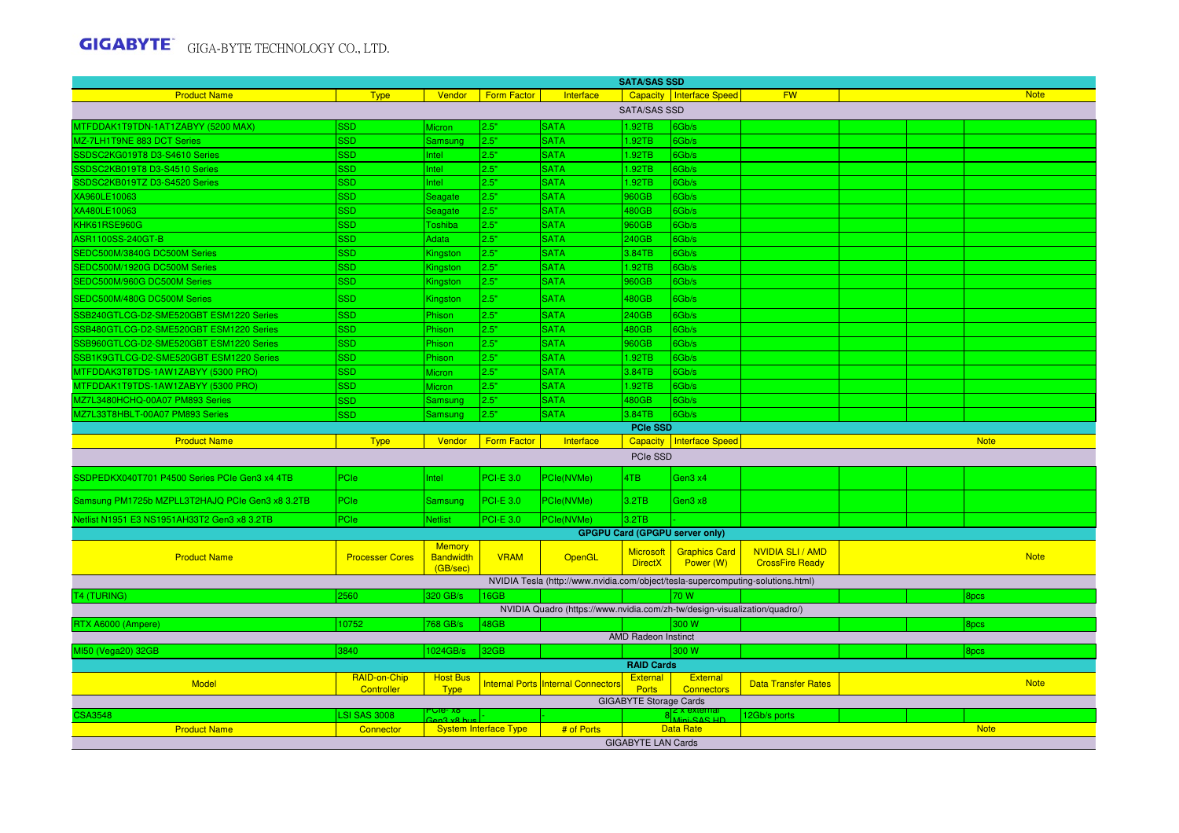|                                                 | <b>SATA/SAS SSD</b>        |                                               |                              |                                                                                 |                                    |                                       |                                                 |  |  |             |  |
|-------------------------------------------------|----------------------------|-----------------------------------------------|------------------------------|---------------------------------------------------------------------------------|------------------------------------|---------------------------------------|-------------------------------------------------|--|--|-------------|--|
| <b>Product Name</b>                             | <b>Type</b>                | Vendor                                        | <b>Form Factor</b>           | Interface                                                                       |                                    | <b>Capacity Interface Speed</b>       | <b>FW</b>                                       |  |  | <b>Note</b> |  |
|                                                 |                            |                                               |                              |                                                                                 | <b>SATA/SAS SSD</b>                |                                       |                                                 |  |  |             |  |
| MTFDDAK1T9TDN-1AT1ZABYY (5200 MAX)              | <b>SSD</b>                 | Micron                                        | 2.5"                         | <b>SATA</b>                                                                     | 1.92TB                             | 6Gb/s                                 |                                                 |  |  |             |  |
| MZ-7LH1T9NE 883 DCT Series                      | <b>SSD</b>                 | Samsung                                       | 2.5"                         | <b>SATA</b>                                                                     | 1.92TB                             | 6Gb/s                                 |                                                 |  |  |             |  |
| SSDSC2KG019T8 D3-S4610 Series                   | <b>SSD</b>                 | Intel                                         | 2.5"                         | <b>SATA</b>                                                                     | .92TB                              | 6Gb/s                                 |                                                 |  |  |             |  |
| SSDSC2KB019T8 D3-S4510 Series                   | SSD                        | ntel                                          | 2.5"                         | <b>SATA</b>                                                                     | .92TB                              | 6Gb/s                                 |                                                 |  |  |             |  |
| SSDSC2KB019TZ D3-S4520 Series                   | SSD                        | ntel                                          | 2.5"                         | <b>SATA</b>                                                                     | .92TB                              | 6Gb/s                                 |                                                 |  |  |             |  |
| XA960LE10063                                    | <b>SSD</b>                 | Seagate                                       | 2.5"                         | <b>SATA</b>                                                                     | 960GB                              | 6Gb/s                                 |                                                 |  |  |             |  |
| XA480LE10063                                    | SSD                        | Seagate                                       | 2.5"                         | <b>SATA</b>                                                                     | 480GB                              | 6Gb/s                                 |                                                 |  |  |             |  |
| KHK61RSE960G                                    | SSD                        | Toshiba                                       | 2.5"                         | <b>SATA</b>                                                                     | 960GB                              | 6Gb/s                                 |                                                 |  |  |             |  |
| <b>ASR1100SS-240GT-B</b>                        | <b>SSD</b>                 | Adata                                         | 2.5"                         | <b>SATA</b>                                                                     | 240GB                              | 6Gb/s                                 |                                                 |  |  |             |  |
| SEDC500M/3840G DC500M Series                    | SSD                        | <b>Kingston</b>                               | 2.5"                         | <b>SATA</b>                                                                     | 3.84TB                             | 6Gb/s                                 |                                                 |  |  |             |  |
| SEDC500M/1920G DC500M Series                    | SSD                        | <b>Kingston</b>                               | 2.5"                         | <b>SATA</b>                                                                     | .92TB                              | 6Gb/s                                 |                                                 |  |  |             |  |
| SEDC500M/960G DC500M Series                     | <b>SSD</b>                 | Kingston                                      | 2.5"                         | <b>SATA</b>                                                                     | 960GB                              | 6Gb/s                                 |                                                 |  |  |             |  |
| SEDC500M/480G DC500M Series                     | <b>SSD</b>                 | Kingston                                      | 2.5"                         | <b>SATA</b>                                                                     | 480GB                              | 6Gb/s                                 |                                                 |  |  |             |  |
| SSB240GTLCG-D2-SME520GBT ESM1220 Series         | <b>SSD</b>                 | Phison                                        | 2.5"                         | <b>SATA</b>                                                                     | 240GB                              | 6Gb/s                                 |                                                 |  |  |             |  |
| SSB480GTLCG-D2-SME520GBT ESM1220 Series         | <b>SSD</b>                 | Phison                                        | 2.5"                         | <b>SATA</b>                                                                     | 480GB                              | 6Gb/s                                 |                                                 |  |  |             |  |
| SSB960GTLCG-D2-SME520GBT ESM1220 Series         | SSD                        | Phison                                        | 2.5"                         | <b>SATA</b>                                                                     | 960GB                              | 6Gb/s                                 |                                                 |  |  |             |  |
| SSB1K9GTLCG-D2-SME520GBT ESM1220 Series         | SSD                        | Phison                                        | 2.5"                         | <b>SATA</b>                                                                     | .92TB                              | 6Gb/s                                 |                                                 |  |  |             |  |
| MTFDDAK3T8TDS-1AW1ZABYY (5300 PRO)              | SSD                        | Micron                                        | 2.5"                         | <b>SATA</b>                                                                     | 3.84TB                             | 6Gb/s                                 |                                                 |  |  |             |  |
| MTFDDAK1T9TDS-1AW1ZABYY (5300 PRO)              | <b>SSD</b>                 | Micron                                        | 2.5"                         | <b>SATA</b>                                                                     | 1.92TB                             | 6Gb/s                                 |                                                 |  |  |             |  |
| MZ7L3480HCHQ-00A07 PM893 Series                 | <b>SSD</b>                 | Samsung                                       | 2.5"                         | <b>SATA</b>                                                                     | 480GB                              | 6Gb/s                                 |                                                 |  |  |             |  |
| MZ7L33T8HBLT-00A07 PM893 Series                 | SSD                        | Samsung                                       | 2.5"                         | <b>SATA</b>                                                                     | 3.84TB                             | 6Gb/s                                 |                                                 |  |  |             |  |
|                                                 |                            |                                               |                              |                                                                                 | <b>PCIe SSD</b>                    |                                       |                                                 |  |  |             |  |
| <b>Product Name</b>                             | <b>Type</b>                | Vendor                                        | <b>Form Factor</b>           | Interface                                                                       |                                    | Capacity   Interface Speed            |                                                 |  |  | <b>Note</b> |  |
|                                                 |                            |                                               |                              |                                                                                 | PCIe SSD                           |                                       |                                                 |  |  |             |  |
| SSDPEDKX040T701 P4500 Series PCIe Gen3 x4 4TB   | PCle                       | Intel                                         | <b>PCI-E 3.0</b>             | PCle(NVMe)                                                                      | 4TB                                | Gen3 x4                               |                                                 |  |  |             |  |
| Samsung PM1725b MZPLL3T2HAJQ PCIe Gen3 x8 3.2TB | PCle                       | Samsung                                       | $PCI-E 3.0$                  | PCle(NVMe)                                                                      | 3.2TB                              | Gen3 x8                               |                                                 |  |  |             |  |
| Netlist N1951 E3 NS1951AH33T2 Gen3 x8 3.2TB     | PCle                       | <b>Netlist</b>                                | <b>PCI-E 3.0</b>             | PCle(NVMe)                                                                      | 3.2TB                              |                                       |                                                 |  |  |             |  |
|                                                 |                            |                                               |                              |                                                                                 |                                    | <b>GPGPU Card (GPGPU server only)</b> |                                                 |  |  |             |  |
| <b>Product Name</b>                             | <b>Processer Cores</b>     | <b>Memory</b><br><b>Bandwidth</b><br>(GB/sec) | <b>VRAM</b>                  | <b>OpenGL</b>                                                                   | <b>Microsoft</b><br><b>DirectX</b> | <b>Graphics Card</b><br>Power (W)     | <b>NVIDIA SLI/AMD</b><br><b>CrossFire Ready</b> |  |  | <b>Note</b> |  |
|                                                 |                            |                                               |                              | NVIDIA Tesla (http://www.nvidia.com/object/tesla-supercomputing-solutions.html) |                                    |                                       |                                                 |  |  |             |  |
| <b>T4 (TURING)</b>                              | 2560                       | 320 GB/s                                      | 16GB                         |                                                                                 |                                    | 70 W                                  |                                                 |  |  | 8pcs        |  |
|                                                 |                            |                                               |                              | NVIDIA Quadro (https://www.nvidia.com/zh-tw/design-visualization/quadro/)       |                                    |                                       |                                                 |  |  |             |  |
| RTX A6000 (Ampere)                              | 10752                      | 768 GB/s                                      | 48GB                         |                                                                                 |                                    | 300 W                                 |                                                 |  |  | 8pcs        |  |
|                                                 |                            |                                               |                              |                                                                                 | <b>AMD Radeon Instinct</b>         |                                       |                                                 |  |  |             |  |
| MI50 (Vega20) 32GB                              | 3840                       | 1024GB/s                                      | 32GB                         |                                                                                 |                                    | 300 W                                 |                                                 |  |  | 8pcs        |  |
|                                                 |                            |                                               |                              |                                                                                 | <b>RAID Cards</b>                  |                                       |                                                 |  |  |             |  |
| <b>Model</b>                                    | RAID-on-Chip<br>Controller | <b>Host Bus</b><br><b>Type</b>                |                              | Internal Ports Internal Connectors                                              | <b>External</b><br>Ports           | External<br><b>Connectors</b>         | <b>Data Transfer Rates</b>                      |  |  | <b>Note</b> |  |
|                                                 |                            |                                               |                              |                                                                                 | <b>GIGABYTE Storage Cards</b>      |                                       |                                                 |  |  |             |  |
| <b>CSA3548</b>                                  | <b>LSI SAS 3008</b>        | ые- ха                                        |                              |                                                                                 |                                    | 8l≦.                                  | 12Gb/s ports                                    |  |  |             |  |
| <b>Product Name</b>                             | Connector                  |                                               | <b>System Interface Type</b> | # of Ports                                                                      |                                    | <b>Data Rate</b>                      |                                                 |  |  | <b>Note</b> |  |
|                                                 |                            |                                               |                              |                                                                                 | <b>GIGABYTE LAN Cards</b>          |                                       |                                                 |  |  |             |  |